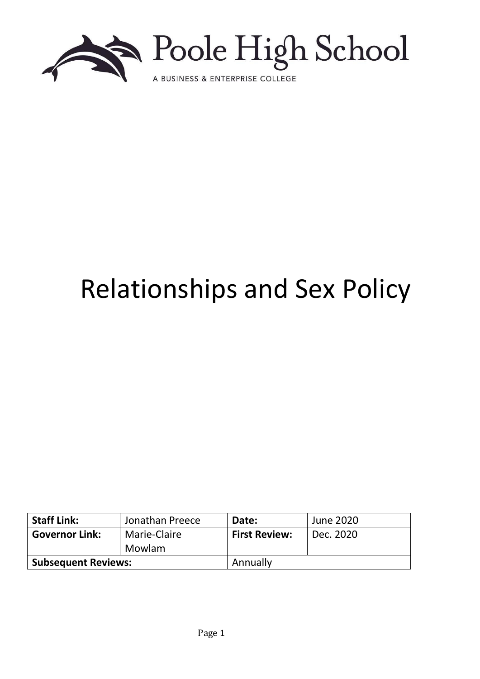

# Relationships and Sex Policy

| <b>Staff Link:</b>         | Jonathan Preece | Date:                | June 2020 |
|----------------------------|-----------------|----------------------|-----------|
| <b>Governor Link:</b>      | Marie-Claire    | <b>First Review:</b> | Dec. 2020 |
|                            | Mowlam          |                      |           |
| <b>Subsequent Reviews:</b> |                 | Annually             |           |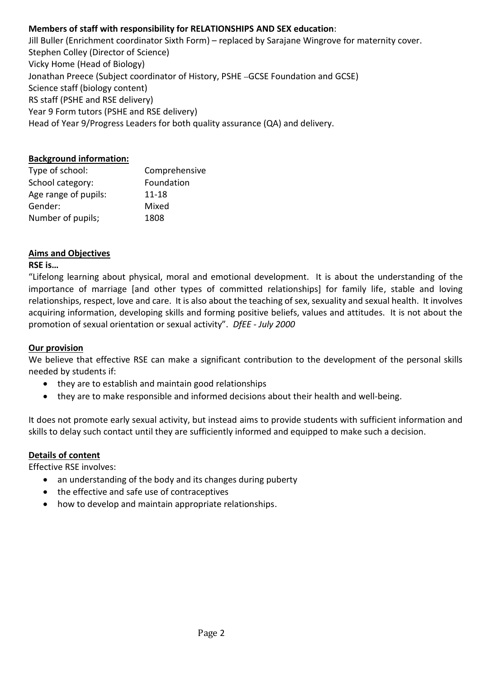# **Members of staff with responsibility for RELATIONSHIPS AND SEX education**:

Jill Buller (Enrichment coordinator Sixth Form) – replaced by Sarajane Wingrove for maternity cover. Stephen Colley (Director of Science) Vicky Home (Head of Biology) Jonathan Preece (Subject coordinator of History, PSHE GCSE Foundation and GCSE) Science staff (biology content) RS staff (PSHE and RSE delivery) Year 9 Form tutors (PSHE and RSE delivery) Head of Year 9/Progress Leaders for both quality assurance (QA) and delivery.

#### **Background information:**

| Type of school:      | Comprehensive |  |
|----------------------|---------------|--|
| School category:     | Foundation    |  |
| Age range of pupils: | $11 - 18$     |  |
| Gender:              | Mixed         |  |
| Number of pupils;    | 1808          |  |

#### **Aims and Objectives**

#### **RSE is…**

"Lifelong learning about physical, moral and emotional development. It is about the understanding of the importance of marriage [and other types of committed relationships] for family life, stable and loving relationships, respect, love and care. It is also about the teaching of sex, sexuality and sexual health. It involves acquiring information, developing skills and forming positive beliefs, values and attitudes. It is not about the promotion of sexual orientation or sexual activity". *DfEE - July 2000*

#### **Our provision**

We believe that effective RSE can make a significant contribution to the development of the personal skills needed by students if:

- they are to establish and maintain good relationships
- they are to make responsible and informed decisions about their health and well-being.

It does not promote early sexual activity, but instead aims to provide students with sufficient information and skills to delay such contact until they are sufficiently informed and equipped to make such a decision.

#### **Details of content**

Effective RSE involves:

- an understanding of the body and its changes during puberty
- the effective and safe use of contraceptives
- how to develop and maintain appropriate relationships.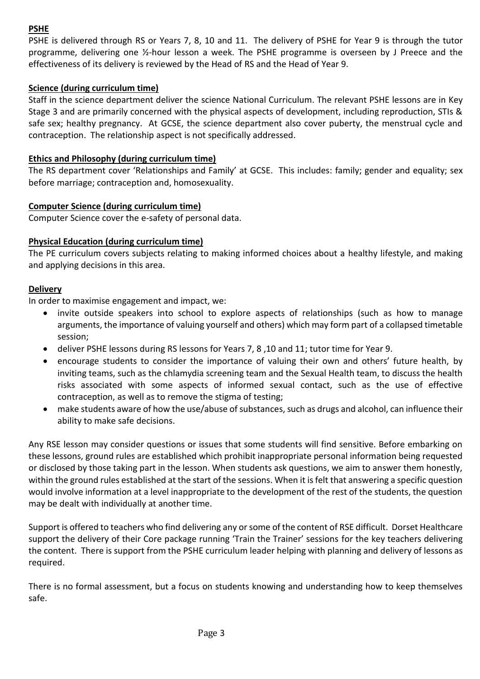# **PSHE**

PSHE is delivered through RS or Years 7, 8, 10 and 11. The delivery of PSHE for Year 9 is through the tutor programme, delivering one ½-hour lesson a week. The PSHE programme is overseen by J Preece and the effectiveness of its delivery is reviewed by the Head of RS and the Head of Year 9.

# **Science (during curriculum time)**

Staff in the science department deliver the science National Curriculum. The relevant PSHE lessons are in Key Stage 3 and are primarily concerned with the physical aspects of development, including reproduction, STIs & safe sex; healthy pregnancy. At GCSE, the science department also cover puberty, the menstrual cycle and contraception. The relationship aspect is not specifically addressed.

# **Ethics and Philosophy (during curriculum time)**

The RS department cover 'Relationships and Family' at GCSE. This includes: family; gender and equality; sex before marriage; contraception and, homosexuality.

## **Computer Science (during curriculum time)**

Computer Science cover the e-safety of personal data.

## **Physical Education (during curriculum time)**

The PE curriculum covers subjects relating to making informed choices about a healthy lifestyle, and making and applying decisions in this area.

## **Delivery**

In order to maximise engagement and impact, we:

- invite outside speakers into school to explore aspects of relationships (such as how to manage arguments, the importance of valuing yourself and others) which may form part of a collapsed timetable session;
- deliver PSHE lessons during RS lessons for Years 7, 8 ,10 and 11; tutor time for Year 9.
- encourage students to consider the importance of valuing their own and others' future health, by inviting teams, such as the chlamydia screening team and the Sexual Health team, to discuss the health risks associated with some aspects of informed sexual contact, such as the use of effective contraception, as well as to remove the stigma of testing;
- make students aware of how the use/abuse of substances, such as drugs and alcohol, can influence their ability to make safe decisions.

Any RSE lesson may consider questions or issues that some students will find sensitive. Before embarking on these lessons, ground rules are established which prohibit inappropriate personal information being requested or disclosed by those taking part in the lesson. When students ask questions, we aim to answer them honestly, within the ground rules established at the start of the sessions. When it is felt that answering a specific question would involve information at a level inappropriate to the development of the rest of the students, the question may be dealt with individually at another time.

Support is offered to teachers who find delivering any or some of the content of RSE difficult. Dorset Healthcare support the delivery of their Core package running 'Train the Trainer' sessions for the key teachers delivering the content. There is support from the PSHE curriculum leader helping with planning and delivery of lessons as required.

There is no formal assessment, but a focus on students knowing and understanding how to keep themselves safe.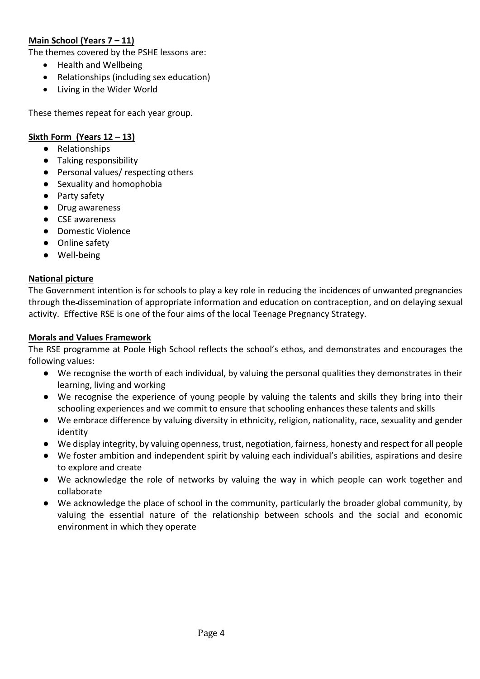# **Main School (Years 7 – 11)**

The themes covered by the PSHE lessons are:

- Health and Wellbeing
- Relationships (including sex education)
- Living in the Wider World

These themes repeat for each year group.

#### **Sixth Form (Years 12 – 13)**

- Relationships
- Taking responsibility
- Personal values/ respecting others
- Sexuality and homophobia
- Party safety
- Drug awareness
- CSE awareness
- Domestic Violence
- Online safety
- Well-being

#### **National picture**

The Government intention is for schools to play a key role in reducing the incidences of unwanted pregnancies through the dissemination of appropriate information and education on contraception, and on delaying sexual activity. Effective RSE is one of the four aims of the local Teenage Pregnancy Strategy.

#### **Morals and Values Framework**

The RSE programme at Poole High School reflects the school's ethos, and demonstrates and encourages the following values:

- We recognise the worth of each individual, by valuing the personal qualities they demonstrates in their learning, living and working
- We recognise the experience of young people by valuing the talents and skills they bring into their schooling experiences and we commit to ensure that schooling enhances these talents and skills
- We embrace difference by valuing diversity in ethnicity, religion, nationality, race, sexuality and gender identity
- We display integrity, by valuing openness, trust, negotiation, fairness, honesty and respect for all people
- We foster ambition and independent spirit by valuing each individual's abilities, aspirations and desire to explore and create
- We acknowledge the role of networks by valuing the way in which people can work together and collaborate
- We acknowledge the place of school in the community, particularly the broader global community, by valuing the essential nature of the relationship between schools and the social and economic environment in which they operate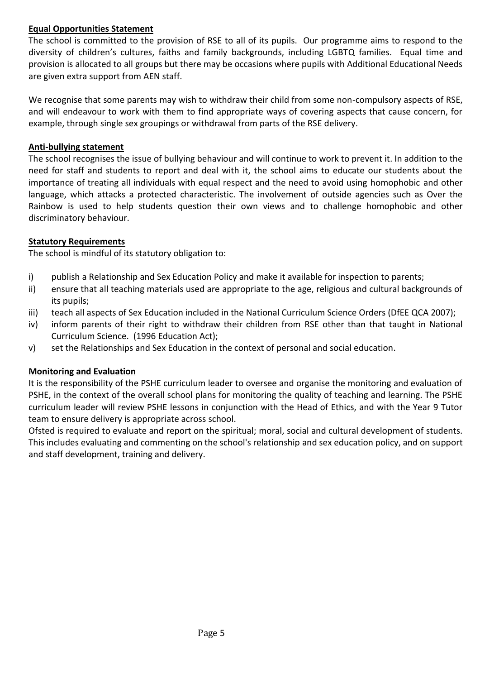## **Equal Opportunities Statement**

The school is committed to the provision of RSE to all of its pupils. Our programme aims to respond to the diversity of children's cultures, faiths and family backgrounds, including LGBTQ families. Equal time and provision is allocated to all groups but there may be occasions where pupils with Additional Educational Needs are given extra support from AEN staff.

We recognise that some parents may wish to withdraw their child from some non-compulsory aspects of RSE, and will endeavour to work with them to find appropriate ways of covering aspects that cause concern, for example, through single sex groupings or withdrawal from parts of the RSE delivery.

## **Anti-bullying statement**

The school recognises the issue of bullying behaviour and will continue to work to prevent it. In addition to the need for staff and students to report and deal with it, the school aims to educate our students about the importance of treating all individuals with equal respect and the need to avoid using homophobic and other language, which attacks a protected characteristic. The involvement of outside agencies such as Over the Rainbow is used to help students question their own views and to challenge homophobic and other discriminatory behaviour.

## **Statutory Requirements**

The school is mindful of its statutory obligation to:

- i) publish a Relationship and Sex Education Policy and make it available for inspection to parents;
- ii) ensure that all teaching materials used are appropriate to the age, religious and cultural backgrounds of its pupils;
- iii) teach all aspects of Sex Education included in the National Curriculum Science Orders (DfEE QCA 2007);
- iv) inform parents of their right to withdraw their children from RSE other than that taught in National Curriculum Science. (1996 Education Act);
- v) set the Relationships and Sex Education in the context of personal and social education.

# **Monitoring and Evaluation**

It is the responsibility of the PSHE curriculum leader to oversee and organise the monitoring and evaluation of PSHE, in the context of the overall school plans for monitoring the quality of teaching and learning. The PSHE curriculum leader will review PSHE lessons in conjunction with the Head of Ethics, and with the Year 9 Tutor team to ensure delivery is appropriate across school.

Ofsted is required to evaluate and report on the spiritual; moral, social and cultural development of students. This includes evaluating and commenting on the school's relationship and sex education policy, and on support and staff development, training and delivery.